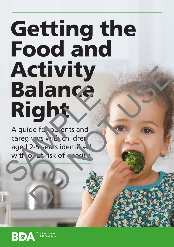# Getting the Food and Activity Balance **Right** Balance CUIVITY<br>alance<br>ight was and<br>als to be active and<br>also dentified<br>by strisk of sets<br>and the contribution

A guide for parents and caregivers with children aged 2-5 years identified with or at risk of the sit

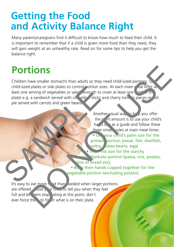#### **Getting the Food and Activity Balance Right**

Many parents/caregivers find it difficult to know how much to feed their child. It is important to remember that if a child is given more food than they need, they will gain weight at an unhealthy rate. Read on for some tips to help you get the balance right.

### **Portions**

Children have smaller stomachs than adults so they need child-sized portions.  $U$ child-sized plates or side plates to control portion sizes. At each main meal offer at least one serving of vegetables or salad enough to cover at least one third of the plate) e.g. a sandwich served with cucumber sticks and cherry tomato pieces or  $\sinh$ pie served with carrots and green beans. child-sized plates or side plates to control ortion sizes. A<br>least one serving of vegetables or salar (enough to cover<br>plate) e.g. a sandwich served with co. "mb" sticks and or<br>pie served with carrots and green beans.<br>Anot

Another visual way to help you offer the r<sup>ight</sup> amount is to use your child's hand size as a quide and follow these three simple rules at main meal times: • Use your child's palm size for the protein portion (meat, fish, shellfish, pultry, ulses beans, egg)  $\overline{\phantom{a}}$  fist size for the starchy sand hydrate portion (pasta, rice, potato, slice of bread etc); the state of the state of the state of the state of the state of the state of the state of the state of the state of the state of the state of the state of the state of the state of the state of the state of the state of t

• Both their hands cupped together for the vegetable portion (excluding potato).

It's easy to eat more  $\frac{1}{2}$  od than needed when larger portions are offered.  $A$   $\overline{A}$  ow your children to tell you when they feel full and let 'hem stop ating at this point; don't ever force them to finish what is on their plate.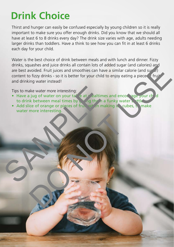## **Drink Choice**

Thirst and hunger can easily be confused especially by young children so it is really important to make sure you offer enough drinks. Did you know that we should all have at least 6 to 8 drinks every day? The drink size varies with age, adults needing larger drinks than toddlers. Have a think to see how you can fit in at least 6 drinks each day for your child.

Water is the best choice of drink between meals and with lunch and dinner. Fizzy drinks, squashes and juice drinks all contain lots of added sugar (and calories) and are best avoided. Fruit juices and smoothies can have a similar calorie (and sure  $\vec{r}$ ) content to fizzy drinks - so it is better for your child to enjoy eating a piece of fruit and drinking water instead! usiles and glute dinner and conductions or added sugger (and sugger) and conduction of fizzy drinks - so it is better for your child to enjoy eating a piece find subset of prior when the state of the state of the state of

Tips to make water more interesting:

- Have a jug of water on your table at mealtimes and encourage your child to drink between meal times by giving them a funky water bottle.
- Add slice of orange or pieces of fruit when making it cubes, to make water more interesting. Tips to make water more interesting:<br>
• Have a jug of water on your ta' e at realtimes a<br>
to drink between meal times by string the in a fu<br>
water more interesting.<br>
Water more interesting.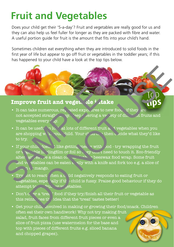# **Fruit and Vegetables**

Does your child get their '5-a-day'? Fruit and vegetables are really good for us and they can also help us feel fuller for longer as they are packed with fibre and water. A useful portion guide for fruit is the amount that fits into your child's hand.

Sometimes children eat everything when they are introduced to solid foods in the first year of life but appear to go off fruit or vegetables in the toddler years; if this has happened to your child have a look at the top tips below.

#### **Improve fruit and veget ale intake**

• It can take numerous,  $\text{re}_k$  ated exposures to new foods if they are not accepted straight away. Keep of dering a variety of direction fruits and vegetables every  $\sim \sqrt{v}$ .

**tips**

- It can be useful to look at lots of different fruit and vegetables when you are shopping with your villd. Your  $c_{\text{max}}$  then decide what they'd like to try.
- If your child does. I like getting mess w with sod-try wrapping the fruit or  $v_{\text{esc}}$  -ble in clingfilm or foil so they don't need to touch it. Eco-friendly alternatives are a clean cotton closus or beeswax food wrap. Some fruit and vegetables can be eaten  $\epsilon$  sily with a knife and fork too e.g. a slice of  $r \ln n$  mango. **Improve fruit and veget. Je j .take**<br>
Improve fruit and veget. Je j .take<br>
It can take numerous, re<sub>k</sub> vated expo. res to net<br>
not accepted straigh' ... w. Yeep . .ering a vere .<br>
vegetables every  $\chi$  ...<br>
It can be use **Example 18 and 18 and 18 and 18 and 18 and 18 and 18 and 18 and 18 and 18 and 18 and 18 and 18 and 18 and 18 and 18 and 18 and 18 and 18 and 18 and 18 and 18 and 18 and 18 and 18 and 18 and 18 and 18 and 18 and 18 and 18** 
	- Try  $\alpha$  to react hen a  $\alpha$  ild negatively responds to eating fruit or vegetables, espe<sup>i</sup>ally if the child is fussy. Praise good behaviour if they do attempt to  $\sim$   $\frac{c_{\text{v}}}{c_{\text{v}}}\sim$  very etables.
	- Don't  $\alpha$  or a 'treat' food if they try/finish all their fruit or vegetable as this reinforces the idea that the 'treat' tastes better!
	- Get your child involved in making or growing their food/snack. Children often eat their own handiwork! Why not try making fruit salad, fruit faces from different fruit pieces or even a slice of fruit pizza (use watermelon for the base and top with pieces of different fruits e.g. sliced banana and chopped grapes).